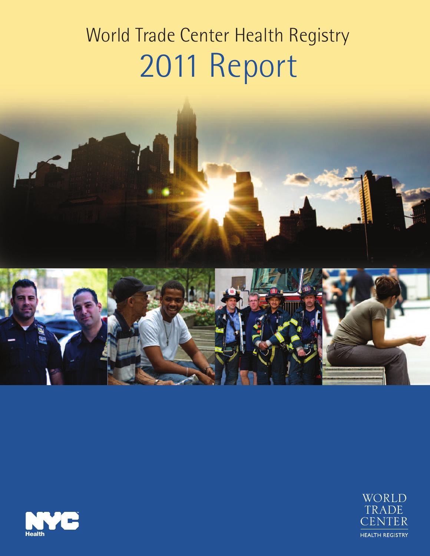# World Trade Center Health Registry 2011 Report





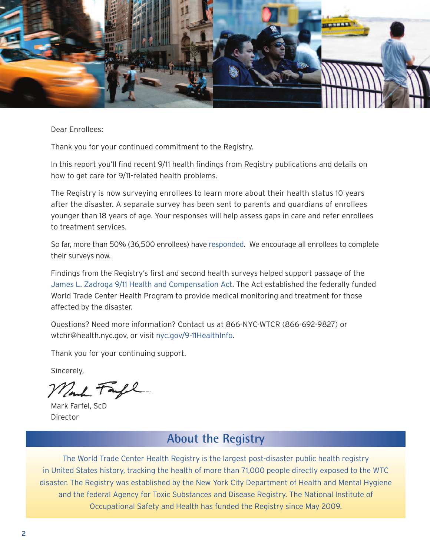

Dear Enrollees:

Thank you for your continued commitment to the Registry.

In this report you'll find recent 9/11 health findings from Registry publications and details on how to get care for 9/11-related health problems.

The Registry is now surveying enrollees to learn more about their health status 10 years after the disaster. A separate survey has been sent to parents and guardians of enrollees younger than 18 years of age. Your responses will help assess gaps in care and refer enrollees to treatment services.

So far, more than 50% (36,500 enrollees) have [responded.](http://www.nyc.gov/html/doh/wtc/downloads/pdf/registry/wave3-survey-response-rate.pdf) We encourage all enrollees to complete their surveys now.

Findings from the Registry's first and second health surveys helped support passage of the James L. Zadroga 9/11 Health and [Compensation](http://www.nyc.gov/html/doh/wtc/html/health_compensation/health_compensation_act.shtml) Act. The Act established the federally funded World Trade Center Health Program to provide medical monitoring and treatment for those affected by the disaster.

Questions? Need more information? Contact us at 866-NYC-WTCR (866-692-9827) or wtchr@health.nyc.gov, or visit [nyc.gov/9-11HealthInfo.](http://www.nyc.gov/html/doh/wtc/html/home/home.shtml)

Thank you for your continuing support.

Sincerely,

Mont Farl

Mark Farfel, ScD Director

# **About the Registry**

The World Trade Center Health Registry is the largest post-disaster public health registry in United States history, tracking the health of more than 71,000 people directly exposed to the WTC disaster. The Registry was established by the New York City Department of Health and Mental Hygiene and the federal Agency for Toxic Substances and Disease Registry. The National Institute of Occupational Safety and Health has funded the Registry since May 2009.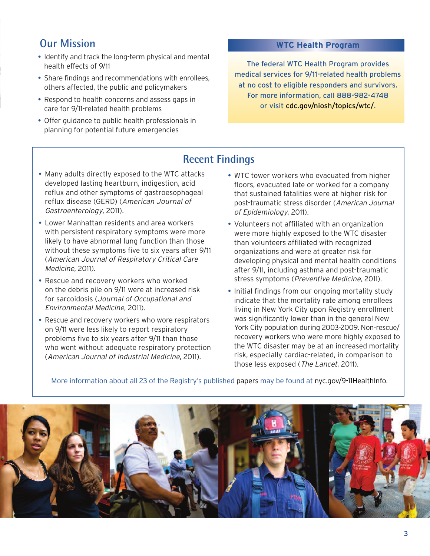## **Our Mission**

- Identify and track the long-term physical and mental health effects of 9/11
- Share findings and recommendations with enrollees, others affected, the public and policymakers
- Respond to health concerns and assess gaps in care for 9/11-related health problems
- Offer guidance to public health professionals in planning for potential future emergencies

#### **WTC Health Program**

The federal WTC Health Program provides [medical services for 9/11-related health problems](http://www.cdc.gov/niosh/topics/wtc/)  at no cost to eligible responders and survivors. For more information, call 888-982-4748 or visit cdc.gov/niosh/topics/wtc/.

## **Recent Findings**

- Many adults directly exposed to the WTC attacks developed lasting heartburn, indigestion, acid reflux and other symptoms of gastroesophageal reflux disease (GERD) (American Journal of Gastroenterology, 2011).
- Lower Manhattan residents and area workers with persistent respiratory symptoms were more likely to have abnormal lung function than those without these symptoms five to six years after 9/11 (American Journal of Respiratory Critical Care Medicine, 2011).
- Rescue and recovery workers who worked on the debris pile on 9/11 were at increased risk for sarcoidosis (Journal of Occupational and Environmental Medicine, 2011).
- Rescue and recovery workers who wore respirators on 9/11 were less likely to report respiratory problems five to six years after 9/11 than those who went without adequate respiratory protection (American Journal of Industrial Medicine, 2011).
- WTC tower workers who evacuated from higher floors, evacuated late or worked for a company that sustained fatalities were at higher risk for post-traumatic stress disorder (American Journal of Epidemiology, 2011).
- Volunteers not affiliated with an organization were more highly exposed to the WTC disaster than volunteers affiliated with recognized organizations and were at greater risk for developing physical and mental health conditions after 9/11, including asthma and post-traumatic stress symptoms (Preventive Medicine, 2011).
- Initial findings from our ongoing mortality study indicate that the mortality rate among enrollees living in New York City upon Registry enrollment was significantly lower than in the general New York City population during 2003-2009. Non-rescue/ recovery workers who were more highly exposed to the WTC disaster may be at an increased mortality risk, especially cardiac-related, in comparison to those less exposed (The Lancet, 2011).

More information about all 23 of the Registry's published [papers](http://www.nyc.gov/html/doh/wtc/html/registry/newsletters.shtml) may be found at [nyc.gov/9-11HealthInfo.](http://www.nyc.gov/html/doh/wtc/html/home/home.shtml)